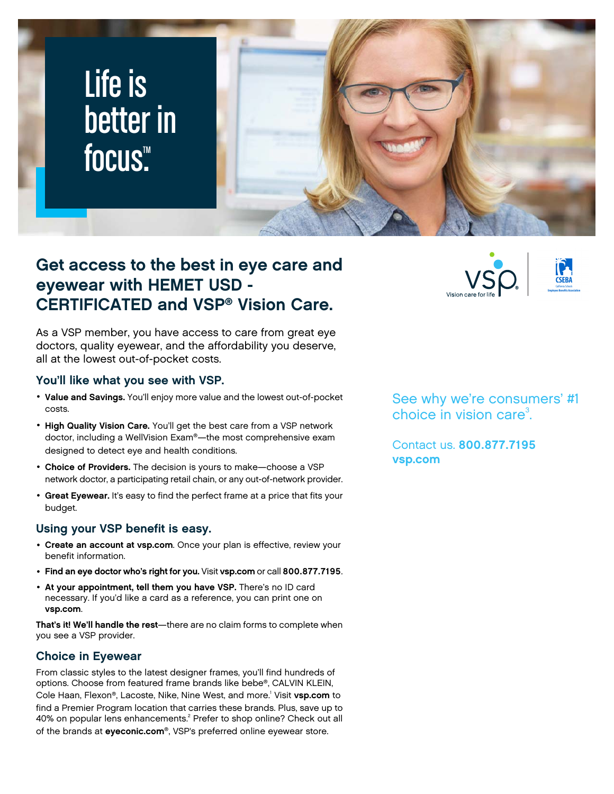

## **Get access to the best in eye care and eyewear with HEMET USD - CERTIFICATED and VSP® Vision Care.**

As a VSP member, you have access to care from great eye doctors, quality eyewear, and the affordability you deserve, all at the lowest out-of-pocket costs.

#### **You'll like what you see with VSP.**

- **Value and Savings.** You'll enjoy more value and the lowest out-of-pocket costs.
- **High Quality Vision Care.** You'll get the best care from a VSP network doctor, including a WellVision Exam®—the most comprehensive exam designed to detect eye and health conditions.
- **Choice of Providers.** The decision is yours to make—choose a VSP network doctor, a participating retail chain, or any out-of-network provider.
- **Great Eyewear.** It's easy to find the perfect frame at a price that fits your budget.

#### **Using your VSP benefit is easy.**

- **Create an account at [vsp.com](www.vsp.com)**. Once your plan is effective, review your benefit information.
- **Find an eye doctor who's right for you.** Visit **[vsp.com](www.vsp.com)** or call **800.877.7195**.
- **At your appointment, tell them you have VSP.** There's no ID card necessary. If you'd like a card as a reference, you can print one on **[vsp.com](www.vsp.com)**.

**That's it! We'll handle the rest**—there are no claim forms to complete when you see a VSP provider.

#### **Choice in Eyewear**

From classic styles to the latest designer frames, you'll find hundreds of options. Choose from featured frame brands like bebe®, CALVIN KLEIN, Cole Haan, Flexon®, Lacoste, Nike, Nine West, and more.<sup>1</sup> Visit **[vsp.com](www.vsp.com)** to find a Premier Program location that carries these brands. Plus, save up to 40% on popular lens enhancements.<sup>2</sup> Prefer to shop online? Check out all of the brands at **[eyeconic.com](www.eyeconic.com)**®, VSP's preferred online eyewear store.

See why we're consumers' #1 choice in vision care $3$ . .

Contact us. **800.877.7195 [vsp.com](http://www.vsp.com)**